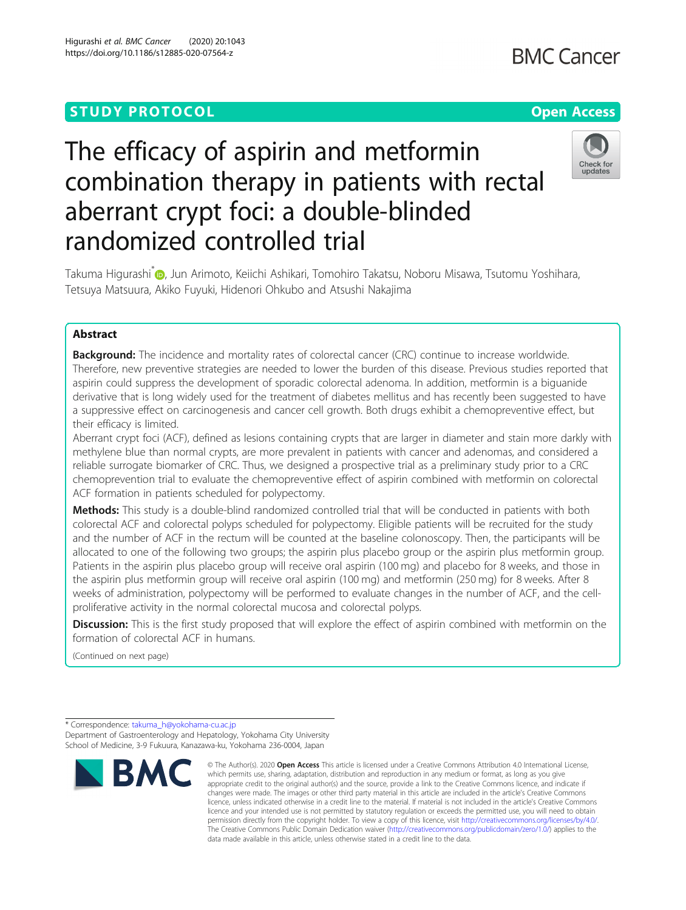Higurashi et al. BMC Cancer (2020) 20:1043 https://doi.org/10.1186/s12885-020-07564-z

# The efficacy of aspirin and metformin combination therapy in patients with rectal aberrant crypt foci: a double-blinded randomized controlled trial



Takuma Higurashi<sup>[\\*](http://orcid.org/0000-0002-1815-4396)</sup> , Jun Arimoto, Keiichi Ashikari, Tomohiro Takatsu, Noboru Misawa, Tsutomu Yoshihara, Tetsuya Matsuura, Akiko Fuyuki, Hidenori Ohkubo and Atsushi Nakajima

# Abstract

**Background:** The incidence and mortality rates of colorectal cancer (CRC) continue to increase worldwide. Therefore, new preventive strategies are needed to lower the burden of this disease. Previous studies reported that aspirin could suppress the development of sporadic colorectal adenoma. In addition, metformin is a biguanide derivative that is long widely used for the treatment of diabetes mellitus and has recently been suggested to have a suppressive effect on carcinogenesis and cancer cell growth. Both drugs exhibit a chemopreventive effect, but their efficacy is limited.

Aberrant crypt foci (ACF), defined as lesions containing crypts that are larger in diameter and stain more darkly with methylene blue than normal crypts, are more prevalent in patients with cancer and adenomas, and considered a reliable surrogate biomarker of CRC. Thus, we designed a prospective trial as a preliminary study prior to a CRC chemoprevention trial to evaluate the chemopreventive effect of aspirin combined with metformin on colorectal ACF formation in patients scheduled for polypectomy.

Methods: This study is a double-blind randomized controlled trial that will be conducted in patients with both colorectal ACF and colorectal polyps scheduled for polypectomy. Eligible patients will be recruited for the study and the number of ACF in the rectum will be counted at the baseline colonoscopy. Then, the participants will be allocated to one of the following two groups; the aspirin plus placebo group or the aspirin plus metformin group. Patients in the aspirin plus placebo group will receive oral aspirin (100 mg) and placebo for 8 weeks, and those in the aspirin plus metformin group will receive oral aspirin (100 mg) and metformin (250 mg) for 8 weeks. After 8 weeks of administration, polypectomy will be performed to evaluate changes in the number of ACF, and the cellproliferative activity in the normal colorectal mucosa and colorectal polyps.

**Discussion:** This is the first study proposed that will explore the effect of aspirin combined with metformin on the formation of colorectal ACF in humans.

(Continued on next page)

<sup>\*</sup> Correspondence: [takuma\\_h@yokohama-cu.ac.jp](mailto:takuma_h@yokohama-cu.ac.jp) Department of Gastroenterology and Hepatology, Yokohama City University School of Medicine, 3-9 Fukuura, Kanazawa-ku, Yokohama 236-0004, Japan



<sup>©</sup> The Author(s), 2020 **Open Access** This article is licensed under a Creative Commons Attribution 4.0 International License, which permits use, sharing, adaptation, distribution and reproduction in any medium or format, as long as you give appropriate credit to the original author(s) and the source, provide a link to the Creative Commons licence, and indicate if changes were made. The images or other third party material in this article are included in the article's Creative Commons licence, unless indicated otherwise in a credit line to the material. If material is not included in the article's Creative Commons licence and your intended use is not permitted by statutory regulation or exceeds the permitted use, you will need to obtain permission directly from the copyright holder. To view a copy of this licence, visit [http://creativecommons.org/licenses/by/4.0/.](http://creativecommons.org/licenses/by/4.0/) The Creative Commons Public Domain Dedication waiver [\(http://creativecommons.org/publicdomain/zero/1.0/](http://creativecommons.org/publicdomain/zero/1.0/)) applies to the data made available in this article, unless otherwise stated in a credit line to the data.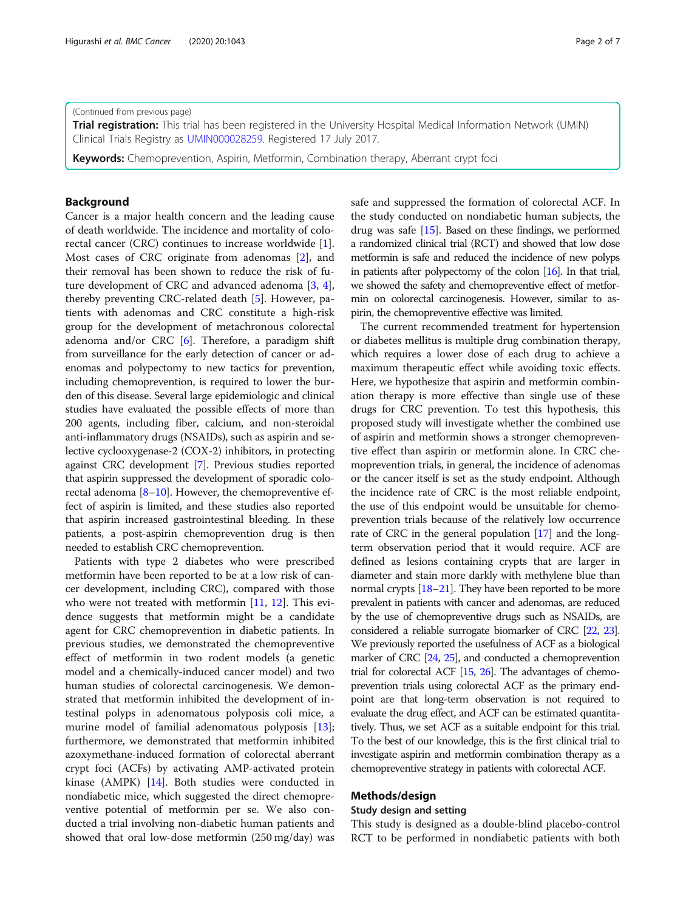(Continued from previous page)

Trial registration: This trial has been registered in the University Hospital Medical Information Network (UMIN) Clinical Trials Registry as [UMIN000028259](https://upload.umin.ac.jp/cgi-open-bin/ctr_e/ctr_view.cgi?recptno=R000032336). Registered 17 July 2017.

Keywords: Chemoprevention, Aspirin, Metformin, Combination therapy, Aberrant crypt foci

# Background

Cancer is a major health concern and the leading cause of death worldwide. The incidence and mortality of colorectal cancer (CRC) continues to increase worldwide [\[1](#page-5-0)]. Most cases of CRC originate from adenomas [\[2](#page-5-0)], and their removal has been shown to reduce the risk of future development of CRC and advanced adenoma [[3,](#page-5-0) [4](#page-5-0)], thereby preventing CRC-related death [\[5](#page-5-0)]. However, patients with adenomas and CRC constitute a high-risk group for the development of metachronous colorectal adenoma and/or CRC [\[6](#page-5-0)]. Therefore, a paradigm shift from surveillance for the early detection of cancer or adenomas and polypectomy to new tactics for prevention, including chemoprevention, is required to lower the burden of this disease. Several large epidemiologic and clinical studies have evaluated the possible effects of more than 200 agents, including fiber, calcium, and non-steroidal anti-inflammatory drugs (NSAIDs), such as aspirin and selective cyclooxygenase-2 (COX-2) inhibitors, in protecting against CRC development [\[7](#page-5-0)]. Previous studies reported that aspirin suppressed the development of sporadic colorectal adenoma [\[8](#page-5-0)–[10](#page-5-0)]. However, the chemopreventive effect of aspirin is limited, and these studies also reported that aspirin increased gastrointestinal bleeding. In these patients, a post-aspirin chemoprevention drug is then needed to establish CRC chemoprevention.

Patients with type 2 diabetes who were prescribed metformin have been reported to be at a low risk of cancer development, including CRC), compared with those who were not treated with metformin [\[11](#page-6-0), [12](#page-6-0)]. This evidence suggests that metformin might be a candidate agent for CRC chemoprevention in diabetic patients. In previous studies, we demonstrated the chemopreventive effect of metformin in two rodent models (a genetic model and a chemically-induced cancer model) and two human studies of colorectal carcinogenesis. We demonstrated that metformin inhibited the development of intestinal polyps in adenomatous polyposis coli mice, a murine model of familial adenomatous polyposis [\[13](#page-6-0)]; furthermore, we demonstrated that metformin inhibited azoxymethane-induced formation of colorectal aberrant crypt foci (ACFs) by activating AMP-activated protein kinase (AMPK) [[14](#page-6-0)]. Both studies were conducted in nondiabetic mice, which suggested the direct chemopreventive potential of metformin per se. We also conducted a trial involving non-diabetic human patients and showed that oral low-dose metformin (250 mg/day) was safe and suppressed the formation of colorectal ACF. In the study conducted on nondiabetic human subjects, the drug was safe [\[15](#page-6-0)]. Based on these findings, we performed a randomized clinical trial (RCT) and showed that low dose metformin is safe and reduced the incidence of new polyps in patients after polypectomy of the colon [[16\]](#page-6-0). In that trial, we showed the safety and chemopreventive effect of metformin on colorectal carcinogenesis. However, similar to aspirin, the chemopreventive effective was limited.

The current recommended treatment for hypertension or diabetes mellitus is multiple drug combination therapy, which requires a lower dose of each drug to achieve a maximum therapeutic effect while avoiding toxic effects. Here, we hypothesize that aspirin and metformin combination therapy is more effective than single use of these drugs for CRC prevention. To test this hypothesis, this proposed study will investigate whether the combined use of aspirin and metformin shows a stronger chemopreventive effect than aspirin or metformin alone. In CRC chemoprevention trials, in general, the incidence of adenomas or the cancer itself is set as the study endpoint. Although the incidence rate of CRC is the most reliable endpoint, the use of this endpoint would be unsuitable for chemoprevention trials because of the relatively low occurrence rate of CRC in the general population [\[17\]](#page-6-0) and the longterm observation period that it would require. ACF are defined as lesions containing crypts that are larger in diameter and stain more darkly with methylene blue than normal crypts [[18](#page-6-0)–[21\]](#page-6-0). They have been reported to be more prevalent in patients with cancer and adenomas, are reduced by the use of chemopreventive drugs such as NSAIDs, are considered a reliable surrogate biomarker of CRC [\[22](#page-6-0), [23\]](#page-6-0). We previously reported the usefulness of ACF as a biological marker of CRC [\[24](#page-6-0), [25\]](#page-6-0), and conducted a chemoprevention trial for colorectal ACF [\[15](#page-6-0), [26\]](#page-6-0). The advantages of chemoprevention trials using colorectal ACF as the primary endpoint are that long-term observation is not required to evaluate the drug effect, and ACF can be estimated quantitatively. Thus, we set ACF as a suitable endpoint for this trial. To the best of our knowledge, this is the first clinical trial to investigate aspirin and metformin combination therapy as a chemopreventive strategy in patients with colorectal ACF.

# Methods/design

# Study design and setting

This study is designed as a double-blind placebo-control RCT to be performed in nondiabetic patients with both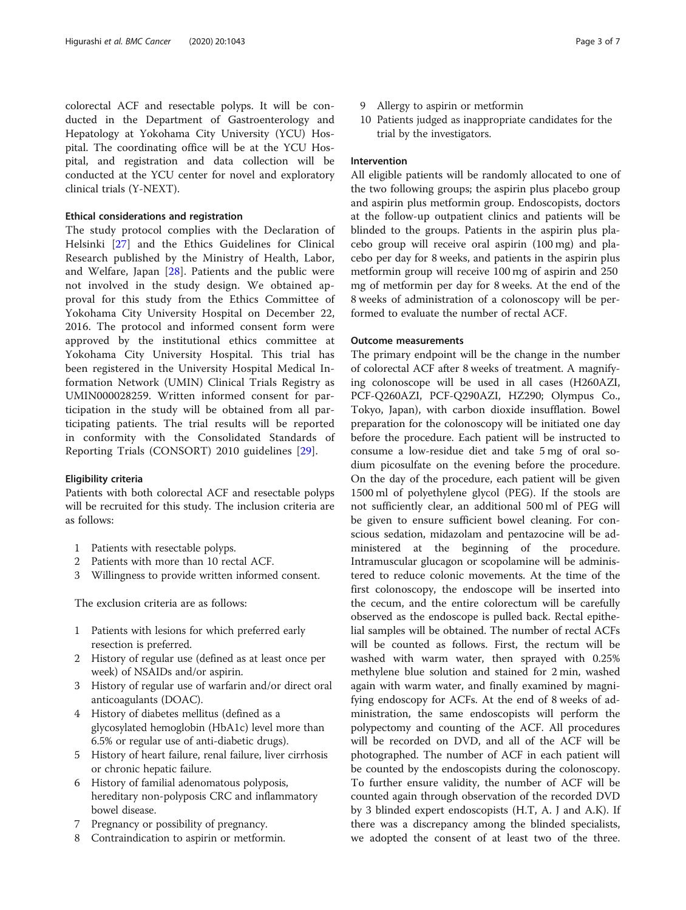colorectal ACF and resectable polyps. It will be conducted in the Department of Gastroenterology and Hepatology at Yokohama City University (YCU) Hospital. The coordinating office will be at the YCU Hospital, and registration and data collection will be conducted at the YCU center for novel and exploratory clinical trials (Y-NEXT).

#### Ethical considerations and registration

The study protocol complies with the Declaration of Helsinki [\[27](#page-6-0)] and the Ethics Guidelines for Clinical Research published by the Ministry of Health, Labor, and Welfare, Japan [\[28](#page-6-0)]. Patients and the public were not involved in the study design. We obtained approval for this study from the Ethics Committee of Yokohama City University Hospital on December 22, 2016. The protocol and informed consent form were approved by the institutional ethics committee at Yokohama City University Hospital. This trial has been registered in the University Hospital Medical Information Network (UMIN) Clinical Trials Registry as UMIN000028259. Written informed consent for participation in the study will be obtained from all participating patients. The trial results will be reported in conformity with the Consolidated Standards of Reporting Trials (CONSORT) 2010 guidelines [[29\]](#page-6-0).

### Eligibility criteria

Patients with both colorectal ACF and resectable polyps will be recruited for this study. The inclusion criteria are as follows:

- 1 Patients with resectable polyps.
- 2 Patients with more than 10 rectal ACF.
- 3 Willingness to provide written informed consent.

The exclusion criteria are as follows:

- 1 Patients with lesions for which preferred early resection is preferred.
- 2 History of regular use (defined as at least once per week) of NSAIDs and/or aspirin.
- 3 History of regular use of warfarin and/or direct oral anticoagulants (DOAC).
- 4 History of diabetes mellitus (defined as a glycosylated hemoglobin (HbA1c) level more than 6.5% or regular use of anti-diabetic drugs).
- 5 History of heart failure, renal failure, liver cirrhosis or chronic hepatic failure.
- 6 History of familial adenomatous polyposis, hereditary non-polyposis CRC and inflammatory bowel disease.
- 7 Pregnancy or possibility of pregnancy.
- 8 Contraindication to aspirin or metformin.
- Allergy to aspirin or metformin
- 10 Patients judged as inappropriate candidates for the trial by the investigators.

# Intervention

All eligible patients will be randomly allocated to one of the two following groups; the aspirin plus placebo group and aspirin plus metformin group. Endoscopists, doctors at the follow-up outpatient clinics and patients will be blinded to the groups. Patients in the aspirin plus placebo group will receive oral aspirin (100 mg) and placebo per day for 8 weeks, and patients in the aspirin plus metformin group will receive 100 mg of aspirin and 250 mg of metformin per day for 8 weeks. At the end of the 8 weeks of administration of a colonoscopy will be performed to evaluate the number of rectal ACF.

# Outcome measurements

The primary endpoint will be the change in the number of colorectal ACF after 8 weeks of treatment. A magnifying colonoscope will be used in all cases (H260AZI, PCF-Q260AZI, PCF-Q290AZI, HZ290; Olympus Co., Tokyo, Japan), with carbon dioxide insufflation. Bowel preparation for the colonoscopy will be initiated one day before the procedure. Each patient will be instructed to consume a low-residue diet and take 5 mg of oral sodium picosulfate on the evening before the procedure. On the day of the procedure, each patient will be given 1500 ml of polyethylene glycol (PEG). If the stools are not sufficiently clear, an additional 500 ml of PEG will be given to ensure sufficient bowel cleaning. For conscious sedation, midazolam and pentazocine will be administered at the beginning of the procedure. Intramuscular glucagon or scopolamine will be administered to reduce colonic movements. At the time of the first colonoscopy, the endoscope will be inserted into the cecum, and the entire colorectum will be carefully observed as the endoscope is pulled back. Rectal epithelial samples will be obtained. The number of rectal ACFs will be counted as follows. First, the rectum will be washed with warm water, then sprayed with 0.25% methylene blue solution and stained for 2 min, washed again with warm water, and finally examined by magnifying endoscopy for ACFs. At the end of 8 weeks of administration, the same endoscopists will perform the polypectomy and counting of the ACF. All procedures will be recorded on DVD, and all of the ACF will be photographed. The number of ACF in each patient will be counted by the endoscopists during the colonoscopy. To further ensure validity, the number of ACF will be counted again through observation of the recorded DVD by 3 blinded expert endoscopists (H.T, A. J and A.K). If there was a discrepancy among the blinded specialists, we adopted the consent of at least two of the three.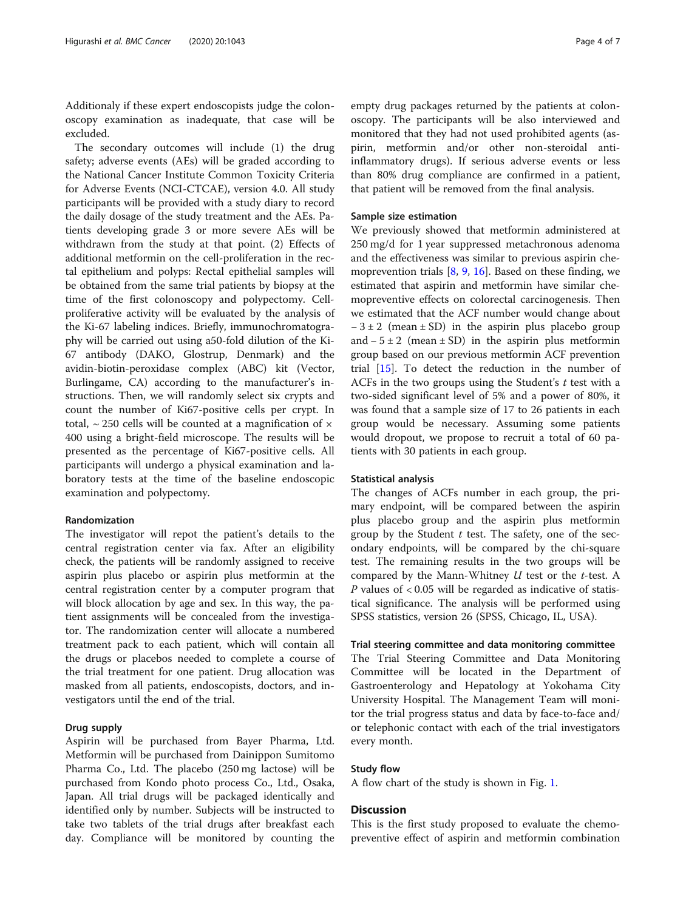Additionaly if these expert endoscopists judge the colonoscopy examination as inadequate, that case will be excluded.

The secondary outcomes will include (1) the drug safety; adverse events (AEs) will be graded according to the National Cancer Institute Common Toxicity Criteria for Adverse Events (NCI-CTCAE), version 4.0. All study participants will be provided with a study diary to record the daily dosage of the study treatment and the AEs. Patients developing grade 3 or more severe AEs will be withdrawn from the study at that point. (2) Effects of additional metformin on the cell-proliferation in the rectal epithelium and polyps: Rectal epithelial samples will be obtained from the same trial patients by biopsy at the time of the first colonoscopy and polypectomy. Cellproliferative activity will be evaluated by the analysis of the Ki-67 labeling indices. Briefly, immunochromatography will be carried out using a50-fold dilution of the Ki-67 antibody (DAKO, Glostrup, Denmark) and the avidin-biotin-peroxidase complex (ABC) kit (Vector, Burlingame, CA) according to the manufacturer's instructions. Then, we will randomly select six crypts and count the number of Ki67-positive cells per crypt. In total,  $\sim$  250 cells will be counted at a magnification of  $\times$ 400 using a bright-field microscope. The results will be presented as the percentage of Ki67-positive cells. All participants will undergo a physical examination and laboratory tests at the time of the baseline endoscopic examination and polypectomy.

# Randomization

The investigator will repot the patient's details to the central registration center via fax. After an eligibility check, the patients will be randomly assigned to receive aspirin plus placebo or aspirin plus metformin at the central registration center by a computer program that will block allocation by age and sex. In this way, the patient assignments will be concealed from the investigator. The randomization center will allocate a numbered treatment pack to each patient, which will contain all the drugs or placebos needed to complete a course of the trial treatment for one patient. Drug allocation was masked from all patients, endoscopists, doctors, and investigators until the end of the trial.

### Drug supply

Aspirin will be purchased from Bayer Pharma, Ltd. Metformin will be purchased from Dainippon Sumitomo Pharma Co., Ltd. The placebo (250 mg lactose) will be purchased from Kondo photo process Co., Ltd., Osaka, Japan. All trial drugs will be packaged identically and identified only by number. Subjects will be instructed to take two tablets of the trial drugs after breakfast each day. Compliance will be monitored by counting the empty drug packages returned by the patients at colonoscopy. The participants will be also interviewed and monitored that they had not used prohibited agents (aspirin, metformin and/or other non-steroidal antiinflammatory drugs). If serious adverse events or less than 80% drug compliance are confirmed in a patient, that patient will be removed from the final analysis.

## Sample size estimation

We previously showed that metformin administered at 250 mg/d for 1 year suppressed metachronous adenoma and the effectiveness was similar to previous aspirin chemoprevention trials  $[8, 9, 16]$  $[8, 9, 16]$  $[8, 9, 16]$  $[8, 9, 16]$  $[8, 9, 16]$  $[8, 9, 16]$ . Based on these finding, we estimated that aspirin and metformin have similar chemopreventive effects on colorectal carcinogenesis. Then we estimated that the ACF number would change about  $-3 \pm 2$  (mean  $\pm$  SD) in the aspirin plus placebo group and  $-5 \pm 2$  (mean  $\pm$  SD) in the aspirin plus metformin group based on our previous metformin ACF prevention trial  $[15]$  $[15]$ . To detect the reduction in the number of ACFs in the two groups using the Student's  $t$  test with a two-sided significant level of 5% and a power of 80%, it was found that a sample size of 17 to 26 patients in each group would be necessary. Assuming some patients would dropout, we propose to recruit a total of 60 patients with 30 patients in each group.

### Statistical analysis

The changes of ACFs number in each group, the primary endpoint, will be compared between the aspirin plus placebo group and the aspirin plus metformin group by the Student  $t$  test. The safety, one of the secondary endpoints, will be compared by the chi-square test. The remaining results in the two groups will be compared by the Mann-Whitney  $U$  test or the  $t$ -test. A  $P$  values of  $< 0.05$  will be regarded as indicative of statistical significance. The analysis will be performed using SPSS statistics, version 26 (SPSS, Chicago, IL, USA).

#### Trial steering committee and data monitoring committee

The Trial Steering Committee and Data Monitoring Committee will be located in the Department of Gastroenterology and Hepatology at Yokohama City University Hospital. The Management Team will monitor the trial progress status and data by face-to-face and/ or telephonic contact with each of the trial investigators every month.

### Study flow

A flow chart of the study is shown in Fig. [1](#page-4-0).

# **Discussion**

This is the first study proposed to evaluate the chemopreventive effect of aspirin and metformin combination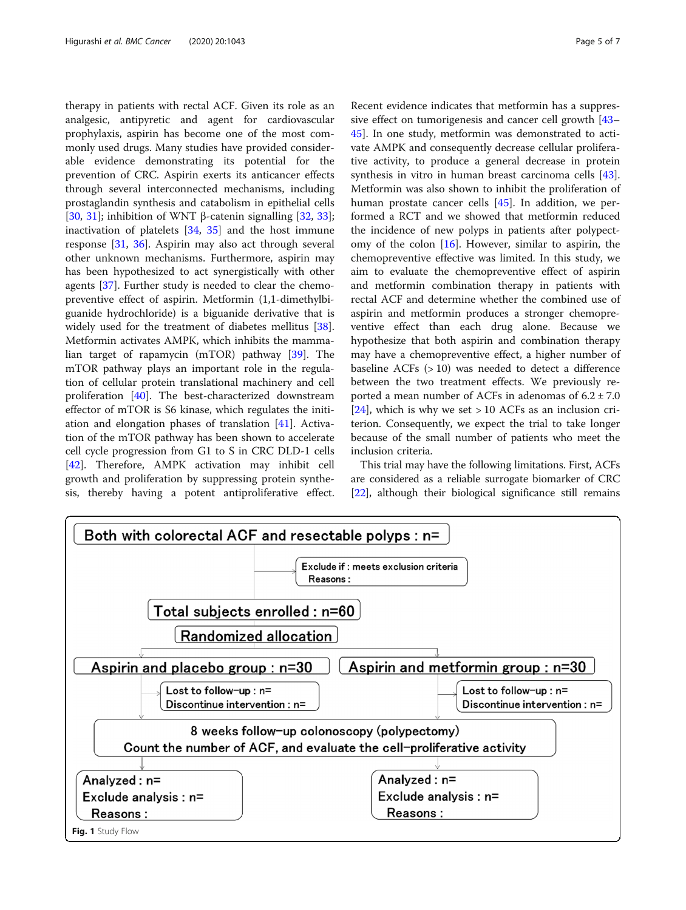<span id="page-4-0"></span>therapy in patients with rectal ACF. Given its role as an analgesic, antipyretic and agent for cardiovascular prophylaxis, aspirin has become one of the most commonly used drugs. Many studies have provided considerable evidence demonstrating its potential for the prevention of CRC. Aspirin exerts its anticancer effects through several interconnected mechanisms, including prostaglandin synthesis and catabolism in epithelial cells [[30,](#page-6-0) [31\]](#page-6-0); inhibition of WNT β-catenin signalling  $[32, 33]$  $[32, 33]$  $[32, 33]$  $[32, 33]$ ; inactivation of platelets [\[34,](#page-6-0) [35](#page-6-0)] and the host immune response [[31,](#page-6-0) [36\]](#page-6-0). Aspirin may also act through several other unknown mechanisms. Furthermore, aspirin may has been hypothesized to act synergistically with other agents [\[37\]](#page-6-0). Further study is needed to clear the chemopreventive effect of aspirin. Metformin (1,1-dimethylbiguanide hydrochloride) is a biguanide derivative that is widely used for the treatment of diabetes mellitus [\[38](#page-6-0)]. Metformin activates AMPK, which inhibits the mammalian target of rapamycin (mTOR) pathway [\[39\]](#page-6-0). The mTOR pathway plays an important role in the regulation of cellular protein translational machinery and cell proliferation [[40](#page-6-0)]. The best-characterized downstream effector of mTOR is S6 kinase, which regulates the initiation and elongation phases of translation [[41\]](#page-6-0). Activation of the mTOR pathway has been shown to accelerate cell cycle progression from G1 to S in CRC DLD-1 cells [[42\]](#page-6-0). Therefore, AMPK activation may inhibit cell growth and proliferation by suppressing protein synthesis, thereby having a potent antiproliferative effect.

Recent evidence indicates that metformin has a suppressive effect on tumorigenesis and cancer cell growth [[43](#page-6-0)– [45\]](#page-6-0). In one study, metformin was demonstrated to activate AMPK and consequently decrease cellular proliferative activity, to produce a general decrease in protein synthesis in vitro in human breast carcinoma cells [\[43](#page-6-0)]. Metformin was also shown to inhibit the proliferation of human prostate cancer cells [\[45](#page-6-0)]. In addition, we performed a RCT and we showed that metformin reduced the incidence of new polyps in patients after polypectomy of the colon [[16](#page-6-0)]. However, similar to aspirin, the chemopreventive effective was limited. In this study, we aim to evaluate the chemopreventive effect of aspirin and metformin combination therapy in patients with rectal ACF and determine whether the combined use of aspirin and metformin produces a stronger chemopreventive effect than each drug alone. Because we hypothesize that both aspirin and combination therapy may have a chemopreventive effect, a higher number of baseline ACFs (> 10) was needed to detect a difference between the two treatment effects. We previously reported a mean number of ACFs in adenomas of  $6.2 \pm 7.0$ [[24\]](#page-6-0), which is why we set  $> 10$  ACFs as an inclusion criterion. Consequently, we expect the trial to take longer because of the small number of patients who meet the inclusion criteria.

This trial may have the following limitations. First, ACFs are considered as a reliable surrogate biomarker of CRC [[22](#page-6-0)], although their biological significance still remains

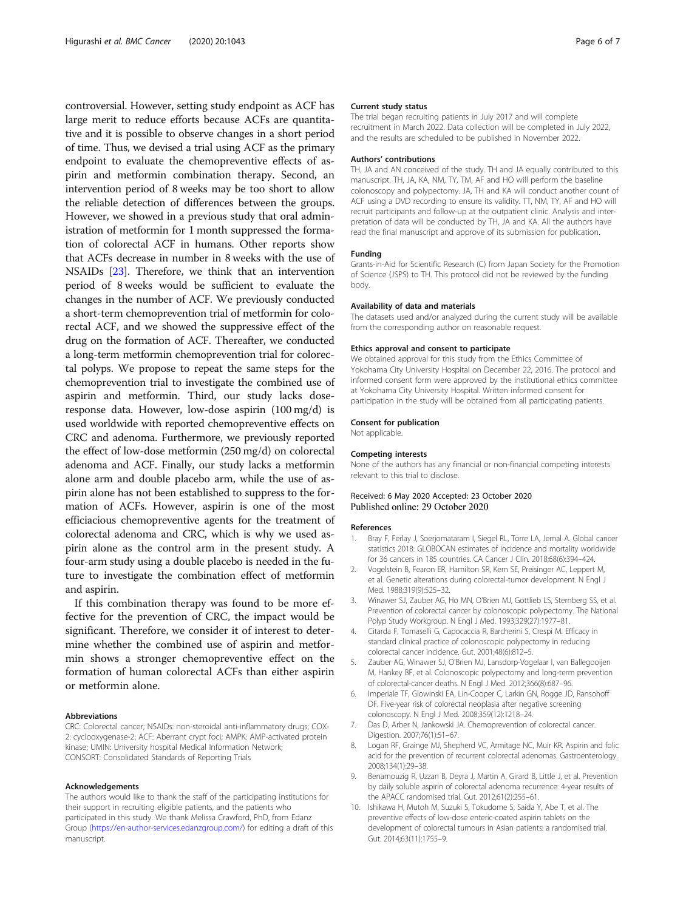<span id="page-5-0"></span>controversial. However, setting study endpoint as ACF has large merit to reduce efforts because ACFs are quantitative and it is possible to observe changes in a short period of time. Thus, we devised a trial using ACF as the primary endpoint to evaluate the chemopreventive effects of aspirin and metformin combination therapy. Second, an intervention period of 8 weeks may be too short to allow the reliable detection of differences between the groups. However, we showed in a previous study that oral administration of metformin for 1 month suppressed the formation of colorectal ACF in humans. Other reports show that ACFs decrease in number in 8 weeks with the use of NSAIDs [[23\]](#page-6-0). Therefore, we think that an intervention period of 8 weeks would be sufficient to evaluate the changes in the number of ACF. We previously conducted a short-term chemoprevention trial of metformin for colorectal ACF, and we showed the suppressive effect of the drug on the formation of ACF. Thereafter, we conducted a long-term metformin chemoprevention trial for colorectal polyps. We propose to repeat the same steps for the chemoprevention trial to investigate the combined use of aspirin and metformin. Third, our study lacks doseresponse data. However, low-dose aspirin (100 mg/d) is used worldwide with reported chemopreventive effects on CRC and adenoma. Furthermore, we previously reported the effect of low-dose metformin (250 mg/d) on colorectal adenoma and ACF. Finally, our study lacks a metformin alone arm and double placebo arm, while the use of aspirin alone has not been established to suppress to the formation of ACFs. However, aspirin is one of the most efficiacious chemopreventive agents for the treatment of colorectal adenoma and CRC, which is why we used aspirin alone as the control arm in the present study. A four-arm study using a double placebo is needed in the future to investigate the combination effect of metformin and aspirin.

If this combination therapy was found to be more effective for the prevention of CRC, the impact would be significant. Therefore, we consider it of interest to determine whether the combined use of aspirin and metformin shows a stronger chemopreventive effect on the formation of human colorectal ACFs than either aspirin or metformin alone.

#### Abbreviations

CRC: Colorectal cancer; NSAIDs: non-steroidal anti-inflammatory drugs; COX-2: cyclooxygenase-2; ACF: Aberrant crypt foci; AMPK: AMP-activated protein kinase; UMIN: University hospital Medical Information Network; CONSORT: Consolidated Standards of Reporting Trials

#### Acknowledgements

The authors would like to thank the staff of the participating institutions for their support in recruiting eligible patients, and the patients who participated in this study. We thank Melissa Crawford, PhD, from Edanz Group ([https://en-author-services.edanzgroup.com/\)](https://en-author-services.edanzgroup.com/) for editing a draft of this manuscript.

#### Current study status

The trial began recruiting patients in July 2017 and will complete recruitment in March 2022. Data collection will be completed in July 2022, and the results are scheduled to be published in November 2022.

#### Authors' contributions

TH, JA and AN conceived of the study. TH and JA equally contributed to this manuscript. TH, JA, KA, NM, TY, TM, AF and HO will perform the baseline colonoscopy and polypectomy. JA, TH and KA will conduct another count of ACF using a DVD recording to ensure its validity. TT, NM, TY, AF and HO will recruit participants and follow-up at the outpatient clinic. Analysis and interpretation of data will be conducted by TH, JA and KA. All the authors have read the final manuscript and approve of its submission for publication.

#### Funding

Grants-in-Aid for Scientific Research (C) from Japan Society for the Promotion of Science (JSPS) to TH. This protocol did not be reviewed by the funding body.

#### Availability of data and materials

The datasets used and/or analyzed during the current study will be available from the corresponding author on reasonable request.

#### Ethics approval and consent to participate

We obtained approval for this study from the Ethics Committee of Yokohama City University Hospital on December 22, 2016. The protocol and informed consent form were approved by the institutional ethics committee at Yokohama City University Hospital. Written informed consent for participation in the study will be obtained from all participating patients.

#### Consent for publication

Not applicable.

#### Competing interests

None of the authors has any financial or non-financial competing interests relevant to this trial to disclose.

#### Received: 6 May 2020 Accepted: 23 October 2020 Published online: 29 October 2020

#### References

- 1. Bray F, Ferlay J, Soerjomataram I, Siegel RL, Torre LA, Jemal A. Global cancer statistics 2018: GLOBOCAN estimates of incidence and mortality worldwide for 36 cancers in 185 countries. CA Cancer J Clin. 2018;68(6):394–424.
- 2. Vogelstein B, Fearon ER, Hamilton SR, Kern SE, Preisinger AC, Leppert M, et al. Genetic alterations during colorectal-tumor development. N Engl J Med. 1988;319(9):525–32.
- 3. Winawer SJ, Zauber AG, Ho MN, O'Brien MJ, Gottlieb LS, Sternberg SS, et al. Prevention of colorectal cancer by colonoscopic polypectomy. The National Polyp Study Workgroup. N Engl J Med. 1993;329(27):1977–81.
- 4. Citarda F, Tomaselli G, Capocaccia R, Barcherini S, Crespi M. Efficacy in standard clinical practice of colonoscopic polypectomy in reducing colorectal cancer incidence. Gut. 2001;48(6):812–5.
- 5. Zauber AG, Winawer SJ, O'Brien MJ, Lansdorp-Vogelaar I, van Ballegooijen M, Hankey BF, et al. Colonoscopic polypectomy and long-term prevention of colorectal-cancer deaths. N Engl J Med. 2012;366(8):687–96.
- 6. Imperiale TF, Glowinski EA, Lin-Cooper C, Larkin GN, Rogge JD, Ransohoff DF. Five-year risk of colorectal neoplasia after negative screening colonoscopy. N Engl J Med. 2008;359(12):1218–24.
- 7. Das D, Arber N, Jankowski JA. Chemoprevention of colorectal cancer. Digestion. 2007;76(1):51–67.
- Logan RF, Grainge MJ, Shepherd VC, Armitage NC, Muir KR. Aspirin and folic acid for the prevention of recurrent colorectal adenomas. Gastroenterology. 2008;134(1):29–38.
- 9. Benamouzig R, Uzzan B, Deyra J, Martin A, Girard B, Little J, et al. Prevention by daily soluble aspirin of colorectal adenoma recurrence: 4-year results of the APACC randomised trial. Gut. 2012;61(2):255–61.
- 10. Ishikawa H, Mutoh M, Suzuki S, Tokudome S, Saida Y, Abe T, et al. The preventive effects of low-dose enteric-coated aspirin tablets on the development of colorectal tumours in Asian patients: a randomised trial. Gut. 2014;63(11):1755–9.